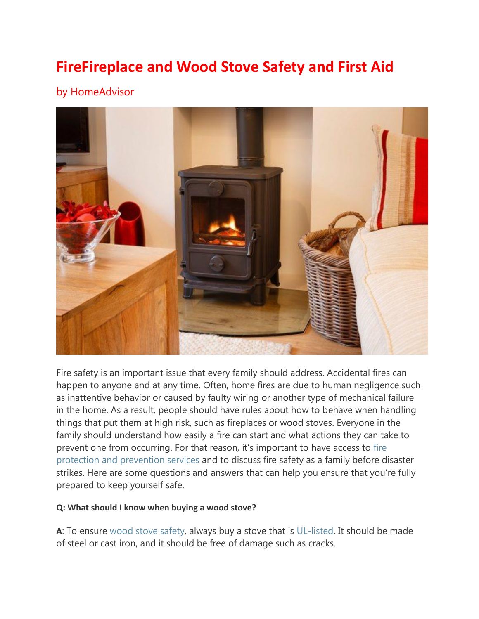# **FireFireplace and Wood Stove Safety and First Aid**

## by HomeAdvisor



Fire safety is an important issue that every family should address. Accidental fires can happen to anyone and at any time. Often, home fires are due to human negligence such as inattentive behavior or caused by faulty wiring or another type of mechanical failure in the home. As a result, people should have rules about how to behave when handling things that put them at high risk, such as fireplaces or wood stoves. Everyone in the family should understand how easily a fire can start and what actions they can take to prevent one from occurring. For that reason, it's important to have access to [fire](https://www.homeadvisor.com/task.Fire-Protection-and-Prevention.40139.html)  [protection and prevention services](https://www.homeadvisor.com/task.Fire-Protection-and-Prevention.40139.html) and to discuss fire safety as a family before disaster strikes. Here are some questions and answers that can help you ensure that you're fully prepared to keep yourself safe.

#### **Q: What should I know when buying a wood stove?**

**A**: To ensure [wood stove safety,](https://www.iii.org/article/wood-stove-safety) always buy a stove that is [UL-listed.](https://www.ul.com/marks/ul-listing-and-classification-marks/promotion-and-advertising-guidelines/specific-guidelines-and-rules/#listed) It should be made of steel or cast iron, and it should be free of damage such as cracks.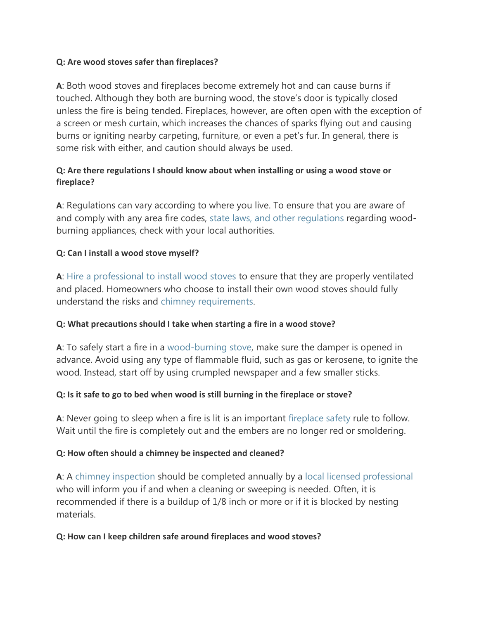#### **Q: Are wood stoves safer than fireplaces?**

**A**: Both wood stoves and fireplaces become extremely hot and can cause burns if touched. Although they both are burning wood, the stove's door is typically closed unless the fire is being tended. Fireplaces, however, are often open with the exception of a screen or mesh curtain, which increases the chances of sparks flying out and causing burns or igniting nearby carpeting, furniture, or even a pet's fur. In general, there is some risk with either, and caution should always be used.

## **Q: Are there regulations I should know about when installing or using a wood stove or fireplace?**

**A**: Regulations can vary according to where you live. To ensure that you are aware of and comply with any area fire codes, [state laws, and other regulations](https://www.epa.gov/burnwise/ordinances-and-regulations-wood-burning-appliances#state) regarding woodburning appliances, check with your local authorities.

## **Q: Can I install a wood stove myself?**

**A**: [Hire a professional to install wood stoves](https://www.homeadvisor.com/emc.Fireplace-Wood-Stoves-directory.-12031.html) to ensure that they are properly ventilated and placed. Homeowners who choose to install their own wood stoves should fully understand the risks and chimney requirements.

#### **Q: What precautions should I take when starting a fire in a wood stove?**

**A**: To safely start a fire in a wood-burning stove, make sure the damper is opened in advance. Avoid using any type of flammable fluid, such as gas or kerosene, to ignite the wood. Instead, start off by using crumpled newspaper and a few smaller sticks.

#### **Q: Is it safe to go to bed when wood is still burning in the fireplace or stove?**

**A**: Never going to sleep when a fire is lit is an important [fireplace safety](https://www.phoenix.gov/fire/safety-information/home/fireplace) rule to follow. Wait until the fire is completely out and the embers are no longer red or smoldering.

#### **Q: How often should a chimney be inspected and cleaned?**

**A**: A chimney inspection should be completed annually by a [local licensed professional](https://www.homeadvisor.com/task.Chimney-or-Fireplace-Clean-and-Inspect.40034.html) who will inform you if and when a cleaning or sweeping is needed. Often, it is recommended if there is a buildup of 1/8 inch or more or if it is blocked by nesting materials.

#### **Q: How can I keep children safe around fireplaces and wood stoves?**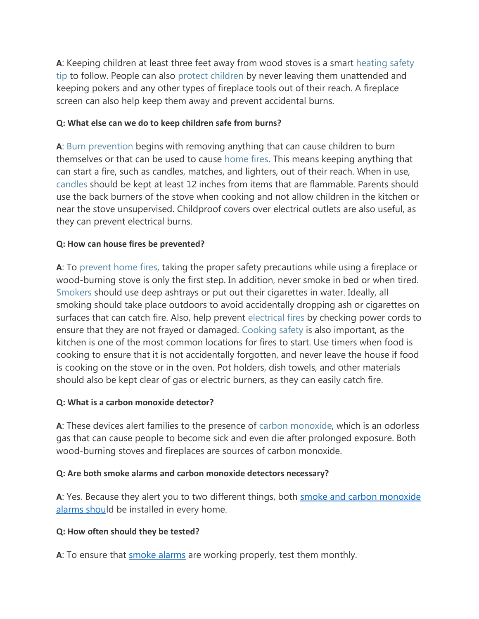**A**: Keeping children at least three feet away from wood stoves is a smart heating safety tip to follow. People can also [protect children](https://riseandshine.childrensnational.org/how-to-protect-children-around-fireplaces/) by never leaving them unattended and keeping pokers and any other types of fireplace tools out of their reach. A fireplace screen can also help keep them away and prevent accidental burns.

#### **Q: What else can we do to keep children safe from burns?**

**A**: Burn prevention begins with removing anything that can cause children to burn themselves or that can be used to cause [home fires.](https://www.ready.gov/home-fires) This means keeping anything that can start a fire, such as candles, matches, and lighters, out of their reach. When in use, candles should be kept at least 12 inches from items that are flammable. Parents should use the back burners of the stove when cooking and not allow children in the kitchen or near the stove unsupervised. Childproof covers over electrical outlets are also useful, as they can prevent electrical burns.

## **Q: How can house fires be prevented?**

**A**: To prevent home fires, taking the proper safety precautions while using a fireplace or wood-burning stove is only the first step. In addition, never smoke in bed or when tired. Smokers should use deep ashtrays or put out their cigarettes in water. Ideally, all smoking should take place outdoors to avoid accidentally dropping ash or cigarettes on surfaces that can catch fire. Also, help prevent [electrical fires](http://www.fairfaxva.gov/government/code-administration/fire-life-safety-education/home-safety/electrical-fire-safety) by checking power cords to ensure that they are not frayed or damaged. Cooking safety is also important, as the kitchen is one of the most common locations for fires to start. Use timers when food is cooking to ensure that it is not accidentally forgotten, and never leave the house if food is cooking on the stove or in the oven. Pot holders, dish towels, and other materials should also be kept clear of gas or electric burners, as they can easily catch fire.

#### **Q: What is a carbon monoxide detector?**

**A**: These devices alert families to the presence of [carbon monoxide,](http://www.mariettafire.com/790/Carbon-Monoxide) which is an odorless gas that can cause people to become sick and even die after prolonged exposure. Both wood-burning stoves and fireplaces are sources of carbon monoxide.

#### **Q: Are both smoke alarms and carbon monoxide detectors necessary?**

A: Yes. Because they alert you to two different things, both smoke and carbon monoxide [alarms](http://www.mariettafire.com/790/Carbon-Monoxide) should be installed in every home.

#### **Q: How often should they be tested?**

**A**: To ensure that [smoke alarms](http://www.mariettafire.com/779/Smoke-Detectors) are working properly, test them monthly.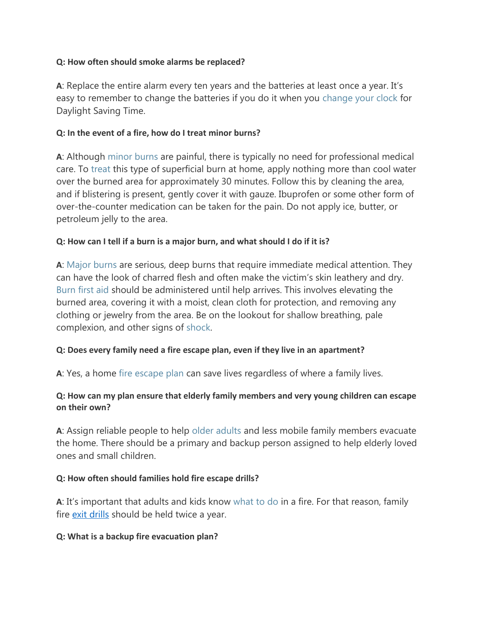#### **Q: How often should smoke alarms be replaced?**

**A**: Replace the entire alarm every ten years and the batteries at least once a year. It's easy to remember to change the batteries if you do it when you [change your clock](https://www.uab.edu/ohs/images/docs/ss/ss_2016-11-change-your-clock.pdf) for Daylight Saving Time.

## **Q: In the event of a fire, how do I treat minor burns?**

**A**: Although minor burns are painful, there is typically no need for professional medical care. To [treat](https://blog.chw.org/wp-content/uploads/chw_burntreatment.pdf) this type of superficial burn at home, apply nothing more than cool water over the burned area for approximately 30 minutes. Follow this by cleaning the area, and if blistering is present, gently cover it with gauze. Ibuprofen or some other form of over-the-counter medication can be taken for the pain. Do not apply ice, butter, or petroleum jelly to the area.

## **Q: How can I tell if a burn is a major burn, and what should I do if it is?**

**A**: Major burns are serious, deep burns that require immediate medical attention. They can have the look of charred flesh and often make the victim's skin leathery and dry. Burn first aid should be administered until help arrives. This involves elevating the burned area, covering it with a moist, clean cloth for protection, and removing any clothing or jewelry from the area. Be on the lookout for shallow breathing, pale complexion, and other signs of [shock.](https://www.umm.edu/health/medical/altmed/condition/shock)

## **Q: Does every family need a fire escape plan, even if they live in an apartment?**

**A**: Yes, a home [fire escape plan](http://www.mariettafire.com/789/Fire-Escape-Planning) can save lives regardless of where a family lives.

## **Q: How can my plan ensure that elderly family members and very young children can escape on their own?**

**A**: Assign reliable people to help older adults and less mobile family members evacuate the home. There should be a primary and backup person assigned to help elderly loved ones and small children.

#### **Q: How often should families hold fire escape drills?**

**A**: It's important that adults and kids know [what to do](http://www.mariettafire.com/789/Fire-Escape-Planning) in a fire. For that reason, family fire *exit drills* should be held twice a year.

#### **Q: What is a backup fire evacuation plan?**